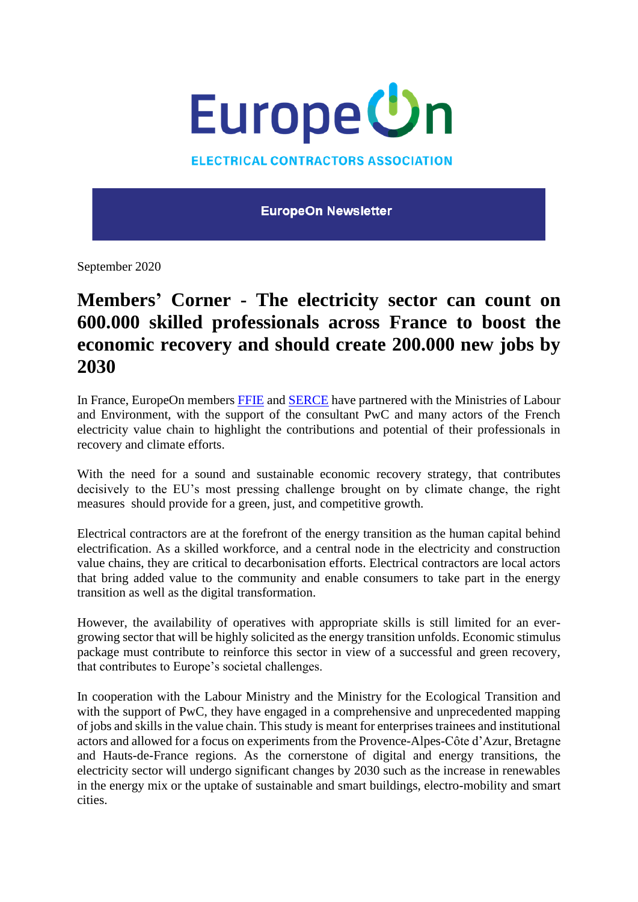

## **ELECTRICAL CONTRACTORS ASSOCIATION**

**EuropeOn Newsletter** 

September 2020

## **Members' Corner - The electricity sector can count on 600.000 skilled professionals across France to boost the economic recovery and should create 200.000 new jobs by 2030**

In France, EuropeOn members [FFIE](http://www.ffie.fr/accueil/) and [SERCE](https://www.serce.fr/) have partnered with the Ministries of Labour and Environment, with the support of the consultant PwC and many actors of the French electricity value chain to highlight the contributions and potential of their professionals in recovery and climate efforts.

With the need for a sound and sustainable economic recovery strategy, that contributes decisively to the EU's most pressing challenge brought on by climate change, the right measures should provide for a green, just, and competitive growth.

Electrical contractors are at the forefront of the energy transition as the human capital behind electrification. As a skilled workforce, and a central node in the electricity and construction value chains, they are critical to decarbonisation efforts. Electrical contractors are local actors that bring added value to the community and enable consumers to take part in the energy transition as well as the digital transformation.

However, the availability of operatives with appropriate skills is still limited for an evergrowing sector that will be highly solicited as the energy transition unfolds. Economic stimulus package must contribute to reinforce this sector in view of a successful and green recovery, that contributes to Europe's societal challenges.

In cooperation with the Labour Ministry and the Ministry for the Ecological Transition and with the support of PwC, they have engaged in a comprehensive and unprecedented mapping of jobs and skills in the value chain. This study is meant for enterprises trainees and institutional actors and allowed for a focus on experiments from the Provence-Alpes-Côte d'Azur, Bretagne and Hauts-de-France regions. As the cornerstone of digital and energy transitions, the electricity sector will undergo significant changes by 2030 such as the increase in renewables in the energy mix or the uptake of sustainable and smart buildings, electro-mobility and smart cities.